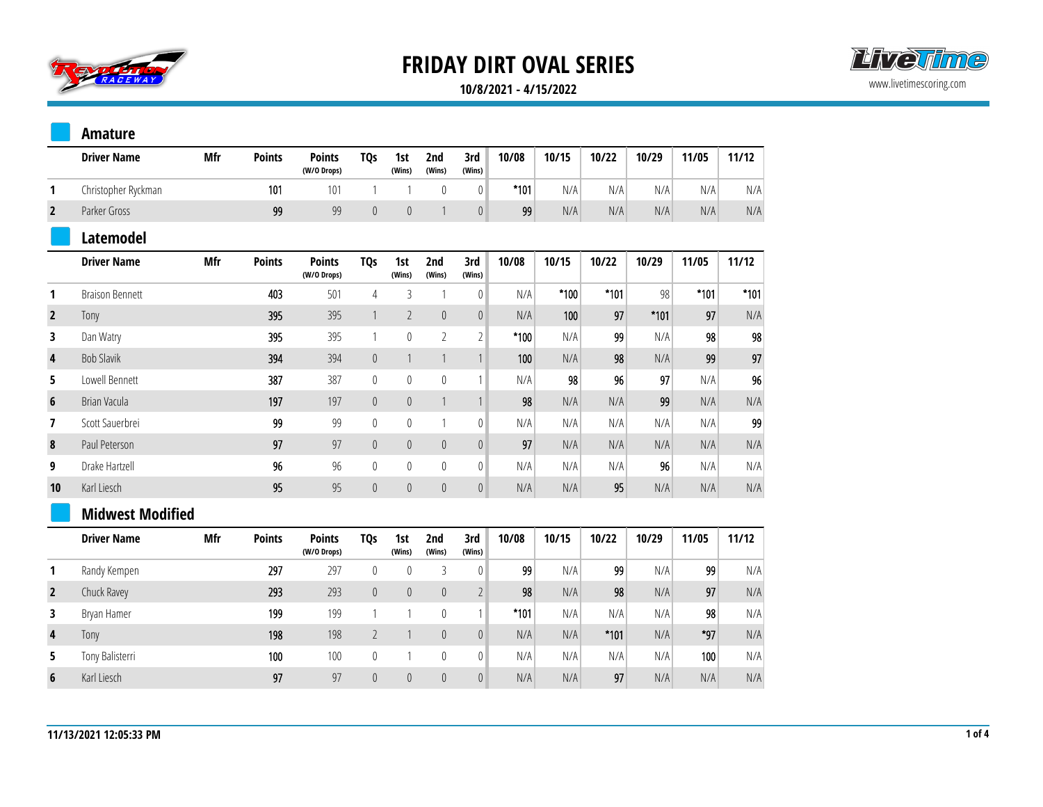



#### **10/8/2021 - 4/15/2022**

|              | <b>Amature</b>          |            |               |                              |                 |                |                  |                  |        |        |        |        |        |        |
|--------------|-------------------------|------------|---------------|------------------------------|-----------------|----------------|------------------|------------------|--------|--------|--------|--------|--------|--------|
|              | <b>Driver Name</b>      | <b>Mfr</b> | <b>Points</b> | <b>Points</b><br>(W/O Drops) | <b>TQs</b>      | 1st<br>(Wins)  | 2nd<br>(Wins)    | 3rd<br>(Wins)    | 10/08  | 10/15  | 10/22  | 10/29  | 11/05  | 11/12  |
| 1            | Christopher Ryckman     |            | 101           | 101                          | $\mathbf{1}$    | $\overline{1}$ | $\mathbf{0}$     | $\mathbb O$      | $*101$ | N/A    | N/A    | N/A    | N/A    | N/A    |
| $\mathbf{2}$ | Parker Gross            |            | 99            | 99                           | $\pmb{0}$       | $\theta$       | $\mathbf{1}$     | $\mathbf 0$      | 99     | N/A    | N/A    | N/A    | N/A    | N/A    |
|              | <b>Latemodel</b>        |            |               |                              |                 |                |                  |                  |        |        |        |        |        |        |
|              | <b>Driver Name</b>      | Mfr        | <b>Points</b> | <b>Points</b><br>(W/O Drops) | TQ <sub>S</sub> | 1st<br>(Wins)  | 2nd<br>(Wins)    | 3rd<br>(Wins)    | 10/08  | 10/15  | 10/22  | 10/29  | 11/05  | 11/12  |
| 1            | <b>Braison Bennett</b>  |            | 403           | 501                          | $\overline{4}$  | 3              | 1                | $\pmb{0}$        | N/A    | $*100$ | $*101$ | 98     | $*101$ | $*101$ |
| $\mathbf{2}$ | Tony                    |            | 395           | 395                          | $\mathbf{1}$    | $\overline{2}$ | $\mathbb O$      | $\boldsymbol{0}$ | N/A    | 100    | 97     | $*101$ | 97     | N/A    |
| 3            | Dan Watry               |            | 395           | 395                          | $\mathbf{1}$    | $\mathbb O$    | $\overline{2}$   | $\overline{2}$   | $*100$ | N/A    | 99     | N/A    | 98     | 98     |
| 4            | <b>Bob Slavik</b>       |            | 394           | 394                          | $\pmb{0}$       | $\mathbf{1}$   | $\mathbf{1}$     | $\overline{1}$   | 100    | N/A    | 98     | N/A    | 99     | 97     |
| 5            | Lowell Bennett          |            | 387           | 387                          | $\bf{0}$        | $\mathbb O$    | $\bf{0}$         | $\mathbf{1}$     | N/A    | 98     | 96     | 97     | N/A    | 96     |
| 6            | Brian Vacula            |            | 197           | 197                          | $\pmb{0}$       | $\mathbb O$    | $\mathbf{1}$     | $\mathbf{1}$     | 98     | N/A    | N/A    | 99     | N/A    | N/A    |
| 7            | Scott Sauerbrei         |            | 99            | 99                           | $\mathbf 0$     | $\mathbb O$    | 1                | $\pmb{0}$        | N/A    | N/A    | N/A    | N/A    | N/A    | 99     |
| 8            | Paul Peterson           |            | 97            | 97                           | $\pmb{0}$       | $\mathbb O$    | $\pmb{0}$        | $\boldsymbol{0}$ | 97     | N/A    | N/A    | N/A    | N/A    | N/A    |
| 9            | Drake Hartzell          |            | 96            | 96                           | $\bf{0}$        | $\mathbb O$    | $\mathbb O$      | $\boldsymbol{0}$ | N/A    | N/A    | N/A    | 96     | N/A    | N/A    |
| 10           | Karl Liesch             |            | 95            | 95                           | $\pmb{0}$       | $\mathbb O$    | $\boldsymbol{0}$ | $\boldsymbol{0}$ | N/A    | N/A    | 95     | N/A    | N/A    | N/A    |
|              | <b>Midwest Modified</b> |            |               |                              |                 |                |                  |                  |        |        |        |        |        |        |
|              | <b>Driver Name</b>      | <b>Mfr</b> | <b>Points</b> | <b>Points</b><br>(W/O Drops) | TQ <sub>S</sub> | 1st<br>(Wins)  | 2nd<br>(Wins)    | 3rd<br>(Wins)    | 10/08  | 10/15  | 10/22  | 10/29  | 11/05  | 11/12  |
| 1            | Randy Kempen            |            | 297           | 297                          | $\bf{0}$        | $\mathbb O$    | 3                | $\mathbb O$      | 99     | N/A    | 99     | N/A    | 99     | N/A    |
| $\mathbf{2}$ | Chuck Ravey             |            | 293           | 293                          | $\mathbf 0$     | $\mathbb O$    | $\pmb{0}$        | $\overline{2}$   | 98     | N/A    | 98     | N/A    | 97     | N/A    |
| 3            | Bryan Hamer             |            | 199           | 199                          | $\mathbf{1}$    | $\mathbf{1}$   | $\mathbb O$      | $\mathbf{1}$     | $*101$ | N/A    | N/A    | N/A    | 98     | N/A    |
| 4            | Tony                    |            | 198           | 198                          | $\mathbf{2}$    | $\mathbf{1}$   | $\mathbb O$      | $\pmb{0}$        | N/A    | N/A    | $*101$ | N/A    | $*97$  | N/A    |
| 5            | Tony Balisterri         |            | 100           | 100                          | 0               | $\mathbf{1}$   | 0                | $\mathbf 0$      | N/A    | N/A    | N/A    | N/A    | 100    | N/A    |
| 6            | Karl Liesch             |            | 97            | 97                           | $\overline{0}$  | $\theta$       | $\mathbf{0}$     | $\theta$         | N/A    | N/A    | 97     | N/A    | N/A    | N/A    |
|              |                         |            |               |                              |                 |                |                  |                  |        |        |        |        |        |        |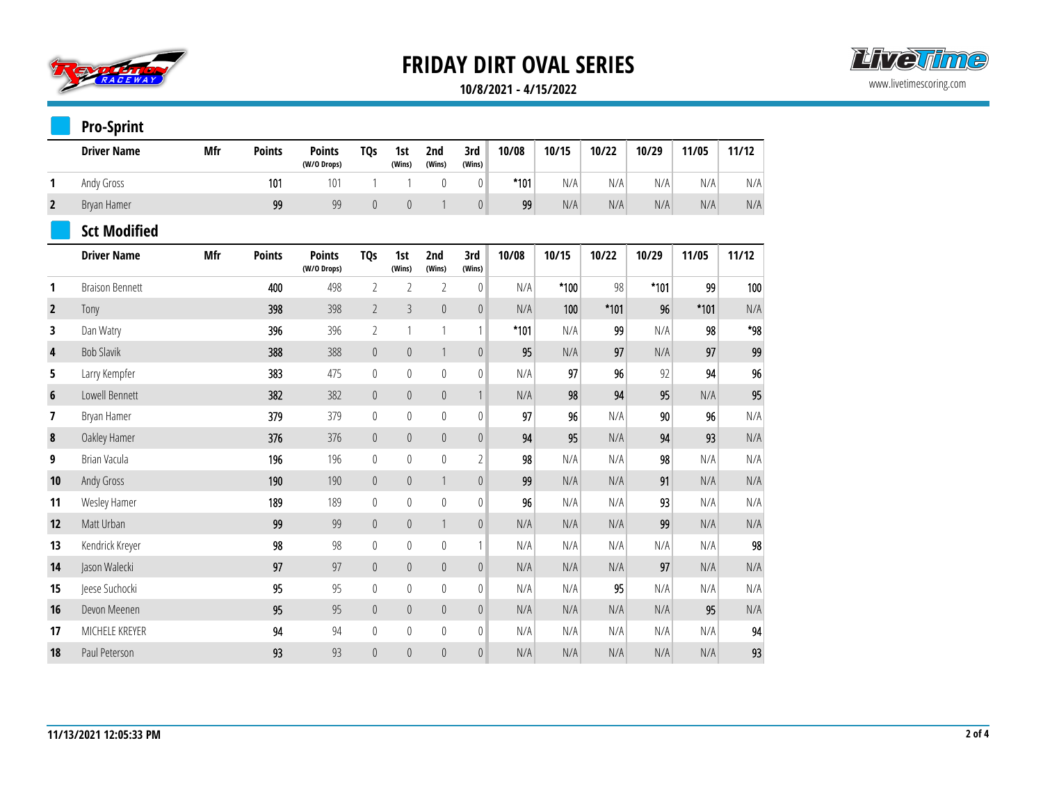

### **10/8/2021 - 4/15/2022**

|                | <b>Pro-Sprint</b>      |            |               |                              |                  |                  |                  |                  |        |        |        |        |        |       |
|----------------|------------------------|------------|---------------|------------------------------|------------------|------------------|------------------|------------------|--------|--------|--------|--------|--------|-------|
|                | <b>Driver Name</b>     | Mfr        | <b>Points</b> | <b>Points</b><br>(W/O Drops) | <b>TQs</b>       | 1st<br>(Wins)    | 2nd<br>(Wins)    | 3rd<br>(Wins)    | 10/08  | 10/15  | 10/22  | 10/29  | 11/05  | 11/12 |
| 1              | Andy Gross             |            | 101           | 101                          | $\mathbf{1}$     | 1                | $\pmb{0}$        | $\mathbf 0$      | $*101$ | N/A    | N/A    | N/A    | N/A    | N/A   |
| $\overline{2}$ | Bryan Hamer            |            | 99            | 99                           | $\pmb{0}$        | $\boldsymbol{0}$ | 1                | $\boldsymbol{0}$ | 99     | N/A    | N/A    | N/A    | N/A    | N/A   |
|                | <b>Sct Modified</b>    |            |               |                              |                  |                  |                  |                  |        |        |        |        |        |       |
|                | <b>Driver Name</b>     | <b>Mfr</b> | <b>Points</b> | <b>Points</b><br>(W/O Drops) | <b>TQs</b>       | 1st<br>(Wins)    | 2nd<br>(Wins)    | 3rd<br>(Wins)    | 10/08  | 10/15  | 10/22  | 10/29  | 11/05  | 11/12 |
| 1              | <b>Braison Bennett</b> |            | 400           | 498                          | $\sqrt{2}$       | $\overline{2}$   | $\overline{2}$   | $\boldsymbol{0}$ | N/A    | $*100$ | 98     | $*101$ | 99     | 100   |
| $\overline{2}$ | Tony                   |            | 398           | 398                          | $\overline{2}$   | $\overline{3}$   | $\pmb{0}$        | $\mathbb O$      | N/A    | 100    | $*101$ | 96     | $*101$ | N/A   |
| 3              | Dan Watry              |            | 396           | 396                          | $\overline{2}$   | $\mathbf{1}$     | 1                | $\mathbf{1}$     | $*101$ | N/A    | 99     | N/A    | 98     | $*98$ |
| 4              | <b>Bob Slavik</b>      |            | 388           | 388                          | $\mathbf 0$      | $\mathbb O$      | $\mathbf{1}$     | $\boldsymbol{0}$ | 95     | N/A    | 97     | N/A    | 97     | 99    |
| 5              | Larry Kempfer          |            | 383           | 475                          | $\mathbf 0$      | $\mathbf 0$      | $\mathbb{0}$     | $\pmb{0}$        | N/A    | 97     | 96     | 92     | 94     | 96    |
| $6\phantom{1}$ | Lowell Bennett         |            | 382           | 382                          | $\mathbf 0$      | $\theta$         | $\mathbf{0}$     | $\mathbf{1}$     | N/A    | 98     | 94     | 95     | N/A    | 95    |
| 7              | Bryan Hamer            |            | 379           | 379                          | $\mathbb O$      | $\mathbf 0$      | $\mathbb{0}$     | 0                | 97     | 96     | N/A    | 90     | 96     | N/A   |
| 8              | Oakley Hamer           |            | 376           | 376                          | $\pmb{0}$        | $\theta$         | $\mathbf{0}$     | $\pmb{0}$        | 94     | 95     | N/A    | 94     | 93     | N/A   |
| 9              | Brian Vacula           |            | 196           | 196                          | $\boldsymbol{0}$ | $\mathbf{0}$     | $\overline{0}$   | $\overline{2}$   | 98     | N/A    | N/A    | 98     | N/A    | N/A   |
| 10             | Andy Gross             |            | 190           | 190                          | $\pmb{0}$        | $\mathbb O$      | 1                | $\overline{0}$   | 99     | N/A    | N/A    | 91     | N/A    | N/A   |
| 11             | Wesley Hamer           |            | 189           | 189                          | $\mathbb O$      | $\mathbf 0$      | $\theta$         | 0                | 96     | N/A    | N/A    | 93     | N/A    | N/A   |
| 12             | Matt Urban             |            | 99            | 99                           | $\mathbb O$      | $\pmb{0}$        | 1                | $\overline{0}$   | N/A    | N/A    | N/A    | 99     | N/A    | N/A   |
| 13             | Kendrick Kreyer        |            | 98            | 98                           | $\boldsymbol{0}$ | $\pmb{0}$        | $\mathbb{0}$     | $\mathbf{1}$     | N/A    | N/A    | N/A    | N/A    | N/A    | 98    |
| 14             | Jason Walecki          |            | 97            | 97                           | $\mathbb O$      | $\boldsymbol{0}$ | $\pmb{0}$        | $\pmb{0}$        | N/A    | N/A    | N/A    | 97     | N/A    | N/A   |
| 15             | Jeese Suchocki         |            | 95            | 95                           | $\mathbb O$      | $\boldsymbol{0}$ | $\boldsymbol{0}$ | $\pmb{0}$        | N/A    | N/A    | 95     | N/A    | N/A    | N/A   |
| 16             | Devon Meenen           |            | 95            | 95                           | $\mathbf 0$      | $\mathbb O$      | $\mathbb O$      | $\mathbf 0$      | N/A    | N/A    | N/A    | N/A    | 95     | N/A   |
| 17             | MICHELE KREYER         |            | 94            | 94                           | $\mathbf 0$      | $\boldsymbol{0}$ | $\boldsymbol{0}$ | $\pmb{0}$        | N/A    | N/A    | N/A    | N/A    | N/A    | 94    |
| 18             | Paul Peterson          |            | 93            | 93                           | $\mathbf 0$      | $\boldsymbol{0}$ | $\boldsymbol{0}$ | $\mathbf{0}$     | N/A    | N/A    | N/A    | N/A    | N/A    | 93    |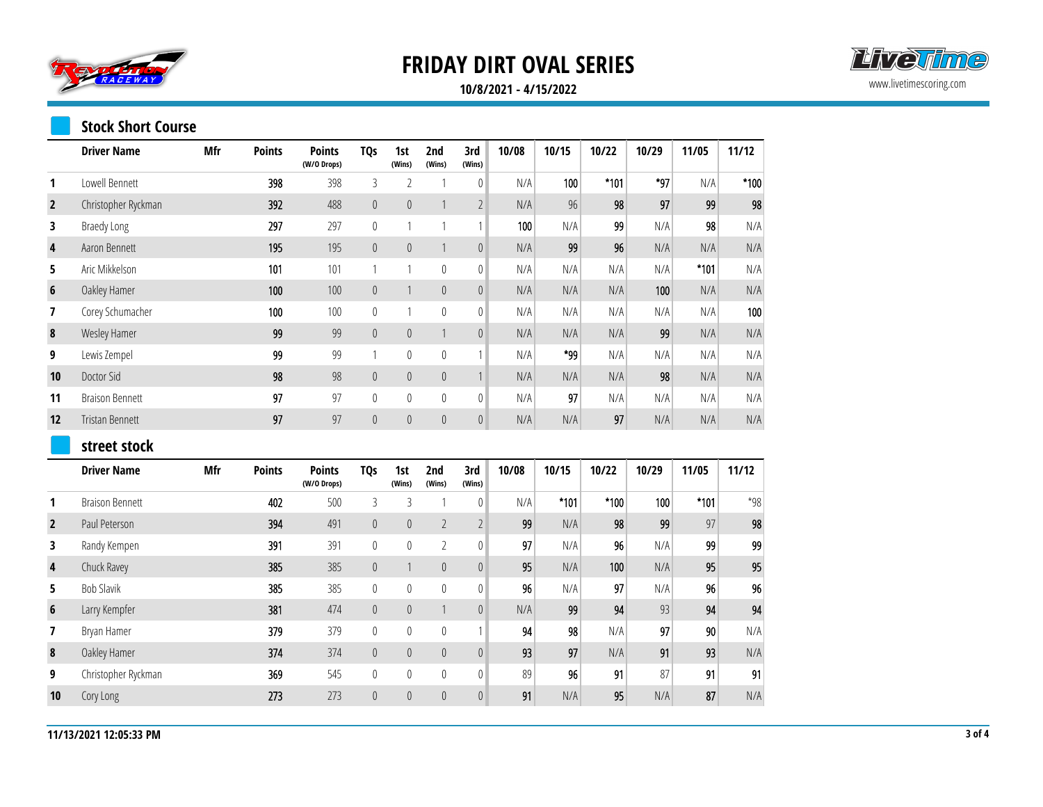

#### **10/8/2021 - 4/15/2022**

### **Stock Short Course**

|                  | <b>Driver Name</b>     | Mfr | <b>Points</b> | <b>Points</b><br>(W/O Drops) | <b>TQs</b>       | 1st<br>(Wins)    | 2nd<br>(Wins)  | 3rd<br>(Wins)    | 10/08 | 10/15  | 10/22  | 10/29 | 11/05  | 11/12  |
|------------------|------------------------|-----|---------------|------------------------------|------------------|------------------|----------------|------------------|-------|--------|--------|-------|--------|--------|
| 1                | Lowell Bennett         |     | 398           | 398                          | 3                | 2                | -1             | $\mathbf 0$      | N/A   | 100    | $*101$ | *97   | N/A    | $*100$ |
| $\overline{2}$   | Christopher Ryckman    |     | 392           | 488                          | $\boldsymbol{0}$ | $\mathbf 0$      | $\mathbf{1}$   | $\sqrt{2}$       | N/A   | 96     | 98     | 97    | 99     | 98     |
| 3                | <b>Braedy Long</b>     |     | 297           | 297                          | $\boldsymbol{0}$ | 1                | 1              | $\mathbf{1}$     | 100   | N/A    | 99     | N/A   | 98     | N/A    |
| 4                | Aaron Bennett          |     | 195           | 195                          | $\boldsymbol{0}$ | $\mathbb O$      | $\mathbf{1}$   | $\boldsymbol{0}$ | N/A   | 99     | 96     | N/A   | N/A    | N/A    |
| 5                | Aric Mikkelson         |     | 101           | 101                          | $\mathbf{1}$     | 1                | $\mathbb O$    | $\mathbb O$      | N/A   | N/A    | N/A    | N/A   | $*101$ | N/A    |
| 6                | Oakley Hamer           |     | 100           | 100                          | $\mathbb O$      | $\mathbf{1}$     | $\mathbf 0$    | $\mathbf 0$      | N/A   | N/A    | N/A    | 100   | N/A    | N/A    |
| 7                | Corey Schumacher       |     | 100           | 100                          | $\mathbb O$      | 1                | $\mathbb O$    | $\mathbf 0$      | N/A   | N/A    | N/A    | N/A   | N/A    | 100    |
| 8                | Wesley Hamer           |     | 99            | 99                           | $\boldsymbol{0}$ | $\mathbb O$      | $\mathbf{1}$   | $\pmb{0}$        | N/A   | N/A    | N/A    | 99    | N/A    | N/A    |
| 9                | Lewis Zempel           |     | 99            | 99                           | $\mathbf{1}$     | $\mathbf 0$      | $\mathbf{0}$   | $\mathbf{1}$     | N/A   | *99    | N/A    | N/A   | N/A    | N/A    |
| 10               | Doctor Sid             |     | 98            | 98                           | $\pmb{0}$        | $\mathbf 0$      | $\mathbf 0$    | $\mathbf{1}$     | N/A   | N/A    | N/A    | 98    | N/A    | N/A    |
| 11               | <b>Braison Bennett</b> |     | 97            | 97                           | $\mathbf 0$      | $\mathbf 0$      | $\mathbb O$    | $\mathbb O$      | N/A   | 97     | N/A    | N/A   | N/A    | N/A    |
| 12               | Tristan Bennett        |     | 97            | 97                           | $\boldsymbol{0}$ | $\mathbf 0$      | $\theta$       | $\pmb{0}$        | N/A   | N/A    | 97     | N/A   | N/A    | N/A    |
|                  | street stock           |     |               |                              |                  |                  |                |                  |       |        |        |       |        |        |
|                  | <b>Driver Name</b>     | Mfr | <b>Points</b> | <b>Points</b><br>(W/O Drops) | <b>TQs</b>       | 1st<br>(Wins)    | 2nd<br>(Wins)  | 3rd<br>(Wins)    | 10/08 | 10/15  | 10/22  | 10/29 | 11/05  | 11/12  |
| 1                | <b>Braison Bennett</b> |     | 402           | 500                          | $\mathfrak{Z}$   | 3                | 1              | $\mathbb O$      | N/A   | $*101$ | $*100$ | 100   | $*101$ | $*98$  |
| $\overline{2}$   | Paul Peterson          |     | 394           | 491                          | $\pmb{0}$        | $\pmb{0}$        | $\overline{2}$ | $\overline{2}$   | 99    | N/A    | 98     | 99    | 97     | 98     |
| 3                | Randy Kempen           |     | 391           | 391                          | $\boldsymbol{0}$ | $\mathbf 0$      | $\overline{2}$ | $\bf{0}$         | 97    | N/A    | 96     | N/A   | 99     | 99     |
| 4                | Chuck Ravey            |     | 385           | 385                          | $\boldsymbol{0}$ | $\mathbf{1}$     | $\mathbf 0$    | $\boldsymbol{0}$ | 95    | N/A    | 100    | N/A   | 95     | 95     |
| 5                | <b>Bob Slavik</b>      |     | 385           | 385                          | $\boldsymbol{0}$ | $\boldsymbol{0}$ | $\mathbb{0}$   | $\mathbb O$      | 96    | N/A    | 97     | N/A   | 96     | 96     |
| $\boldsymbol{6}$ | Larry Kempfer          |     | 381           | 474                          | $\mathbb O$      | $\mathbf 0$      | $\mathbf{1}$   | $\boldsymbol{0}$ | N/A   | 99     | 94     | 93    | 94     | 94     |
| 7                | Bryan Hamer            |     | 379           | 379                          | $\boldsymbol{0}$ | $\mathbf 0$      | $\mathbb O$    | $\mathbf{1}$     | 94    | 98     | N/A    | 97    | 90     | N/A    |
| $\pmb{8}$        | Oakley Hamer           |     | 374           | 374                          | $\mathbb O$      | $\mathbf 0$      | $\theta$       | $\boldsymbol{0}$ | 93    | 97     | N/A    | 91    | 93     | N/A    |
| 9                | Christopher Ryckman    |     | 369           | 545                          | $\mathbf 0$      | $\boldsymbol{0}$ | $\mathbf{0}$   | $\mathbf 0$      | 89    | 96     | 91     | 87    | 91     | 91     |
| 10               | Cory Long              |     | 273           | 273                          | $\pmb{0}$        | $\boldsymbol{0}$ | $\theta$       | $\theta$         | 91    | N/A    | 95     | N/A   | 87     | N/A    |